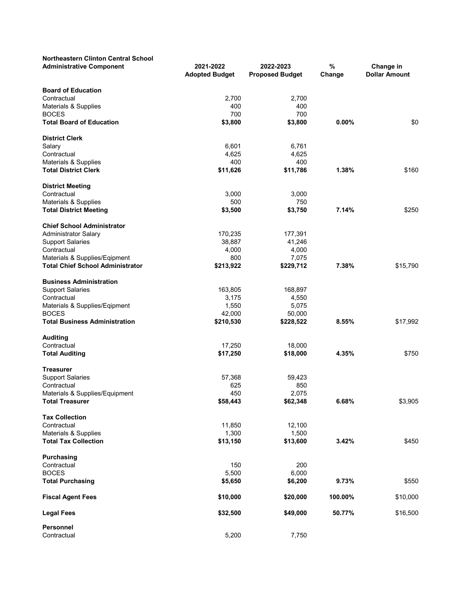| <b>Northeastern Clinton Central School</b><br><b>Administrative Component</b> | 2021-2022<br><b>Adopted Budget</b> | 2022-2023<br><b>Proposed Budget</b> | %<br>Change | Change in<br><b>Dollar Amount</b> |
|-------------------------------------------------------------------------------|------------------------------------|-------------------------------------|-------------|-----------------------------------|
|                                                                               |                                    |                                     |             |                                   |
| <b>Board of Education</b>                                                     |                                    |                                     |             |                                   |
| Contractual                                                                   | 2,700<br>400                       | 2,700<br>400                        |             |                                   |
| Materials & Supplies<br><b>BOCES</b>                                          | 700                                | 700                                 |             |                                   |
| <b>Total Board of Education</b>                                               | \$3,800                            | \$3,800                             | 0.00%       | \$0                               |
|                                                                               |                                    |                                     |             |                                   |
| <b>District Clerk</b>                                                         |                                    |                                     |             |                                   |
| Salary                                                                        | 6,601                              | 6,761                               |             |                                   |
| Contractual                                                                   | 4,625                              | 4,625                               |             |                                   |
| Materials & Supplies                                                          | 400                                | 400                                 |             |                                   |
| <b>Total District Clerk</b>                                                   | \$11,626                           | \$11,786                            | 1.38%       | \$160                             |
| <b>District Meeting</b>                                                       |                                    |                                     |             |                                   |
| Contractual                                                                   | 3,000                              | 3,000                               |             |                                   |
| Materials & Supplies                                                          | 500                                | 750                                 |             |                                   |
| <b>Total District Meeting</b>                                                 | \$3,500                            | \$3,750                             | 7.14%       | \$250                             |
| <b>Chief School Administrator</b>                                             |                                    |                                     |             |                                   |
| <b>Administrator Salary</b>                                                   | 170,235                            | 177,391                             |             |                                   |
| <b>Support Salaries</b>                                                       | 38,887                             | 41,246                              |             |                                   |
| Contractual                                                                   | 4,000                              | 4,000                               |             |                                   |
| Materials & Supplies/Eqipment                                                 | 800                                | 7,075                               |             |                                   |
| <b>Total Chief School Administrator</b>                                       | \$213,922                          | \$229,712                           | 7.38%       | \$15,790                          |
|                                                                               |                                    |                                     |             |                                   |
| <b>Business Administration</b>                                                |                                    |                                     |             |                                   |
| <b>Support Salaries</b>                                                       | 163,805                            | 168,897                             |             |                                   |
| Contractual                                                                   | 3,175                              | 4,550                               |             |                                   |
| Materials & Supplies/Eqipment                                                 | 1,550                              | 5,075                               |             |                                   |
| <b>BOCES</b>                                                                  | 42,000                             | 50,000                              |             |                                   |
| <b>Total Business Administration</b>                                          | \$210,530                          | \$228,522                           | 8.55%       | \$17,992                          |
| <b>Auditing</b>                                                               |                                    |                                     |             |                                   |
| Contractual                                                                   | 17,250                             | 18,000                              |             |                                   |
| <b>Total Auditing</b>                                                         | \$17,250                           | \$18,000                            | 4.35%       | \$750                             |
| <b>Treasurer</b>                                                              |                                    |                                     |             |                                   |
| <b>Support Salaries</b>                                                       | 57,368                             | 59,423                              |             |                                   |
| Contractual                                                                   | 625                                | 850                                 |             |                                   |
| Materials & Supplies/Equipment                                                | 450                                | 2,075                               |             |                                   |
| <b>Total Treasurer</b>                                                        | \$58,443                           | \$62,348                            | 6.68%       | \$3,905                           |
|                                                                               |                                    |                                     |             |                                   |
| <b>Tax Collection</b><br>Contractual                                          |                                    |                                     |             |                                   |
| Materials & Supplies                                                          | 11,850                             | 12,100                              |             |                                   |
| <b>Total Tax Collection</b>                                                   | 1,300<br>\$13,150                  | 1,500<br>\$13,600                   | 3.42%       | \$450                             |
|                                                                               |                                    |                                     |             |                                   |
| Purchasing                                                                    |                                    |                                     |             |                                   |
| Contractual                                                                   | 150                                | 200                                 |             |                                   |
| <b>BOCES</b>                                                                  | 5,500                              | 6,000                               |             |                                   |
| <b>Total Purchasing</b>                                                       | \$5,650                            | \$6,200                             | 9.73%       | \$550                             |
| <b>Fiscal Agent Fees</b>                                                      | \$10,000                           | \$20,000                            | 100.00%     | \$10,000                          |
| <b>Legal Fees</b>                                                             | \$32,500                           | \$49,000                            | 50.77%      | \$16,500                          |
| <b>Personnel</b>                                                              |                                    |                                     |             |                                   |
| Contractual                                                                   | 5,200                              | 7,750                               |             |                                   |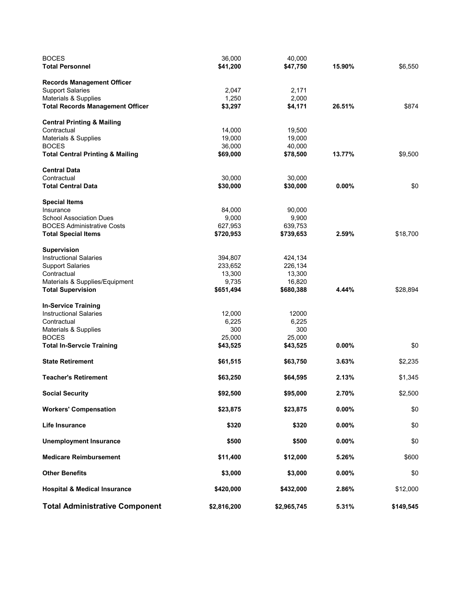| <b>BOCES</b>                                | 36,000      | 40,000      |          |           |
|---------------------------------------------|-------------|-------------|----------|-----------|
| <b>Total Personnel</b>                      | \$41,200    | \$47,750    | 15.90%   | \$6,550   |
| <b>Records Management Officer</b>           |             |             |          |           |
| <b>Support Salaries</b>                     | 2,047       | 2,171       |          |           |
| Materials & Supplies                        | 1,250       | 2,000       |          |           |
| <b>Total Records Management Officer</b>     | \$3,297     | \$4,171     | 26.51%   | \$874     |
| <b>Central Printing &amp; Mailing</b>       |             |             |          |           |
| Contractual                                 | 14,000      | 19,500      |          |           |
| Materials & Supplies                        | 19,000      | 19,000      |          |           |
| <b>BOCES</b>                                | 36,000      | 40,000      |          |           |
| <b>Total Central Printing &amp; Mailing</b> | \$69,000    | \$78,500    | 13.77%   | \$9,500   |
| <b>Central Data</b>                         |             |             |          |           |
| Contractual                                 | 30,000      | 30,000      |          |           |
| <b>Total Central Data</b>                   | \$30,000    | \$30,000    | $0.00\%$ | \$0       |
| <b>Special Items</b>                        |             |             |          |           |
| Insurance                                   | 84,000      | 90,000      |          |           |
| <b>School Association Dues</b>              | 9,000       | 9,900       |          |           |
| <b>BOCES Administrative Costs</b>           | 627,953     | 639,753     |          |           |
| <b>Total Special Items</b>                  | \$720,953   | \$739,653   | 2.59%    | \$18,700  |
| <b>Supervision</b>                          |             |             |          |           |
| <b>Instructional Salaries</b>               | 394,807     | 424,134     |          |           |
| <b>Support Salaries</b>                     | 233,652     | 226,134     |          |           |
| Contractual                                 | 13,300      | 13,300      |          |           |
| Materials & Supplies/Equipment              | 9,735       | 16,820      |          |           |
| <b>Total Supervision</b>                    | \$651,494   | \$680,388   | 4.44%    | \$28,894  |
| <b>In-Service Training</b>                  |             |             |          |           |
| <b>Instructional Salaries</b>               | 12,000      | 12000       |          |           |
| Contractual                                 | 6,225       | 6,225       |          |           |
| Materials & Supplies                        | 300         | 300         |          |           |
| <b>BOCES</b>                                | 25,000      | 25,000      |          |           |
| <b>Total In-Servcie Training</b>            | \$43,525    | \$43,525    | $0.00\%$ | \$0       |
| <b>State Retirement</b>                     | \$61,515    | \$63,750    | 3.63%    | \$2,235   |
| <b>Teacher's Retirement</b>                 | \$63,250    | \$64,595    | 2.13%    | \$1,345   |
| <b>Social Security</b>                      | \$92,500    | \$95,000    | 2.70%    | \$2,500   |
| <b>Workers' Compensation</b>                | \$23,875    | \$23,875    | 0.00%    | \$0       |
| Life Insurance                              | \$320       | \$320       | 0.00%    | \$0       |
| <b>Unemployment Insurance</b>               | \$500       | \$500       | 0.00%    | \$0       |
|                                             |             |             |          |           |
| <b>Medicare Reimbursement</b>               | \$11,400    | \$12,000    | 5.26%    | \$600     |
| <b>Other Benefits</b>                       | \$3,000     | \$3,000     | 0.00%    | \$0       |
| <b>Hospital &amp; Medical Insurance</b>     | \$420,000   | \$432,000   | 2.86%    | \$12,000  |
| <b>Total Administrative Component</b>       | \$2,816,200 | \$2,965,745 | 5.31%    | \$149,545 |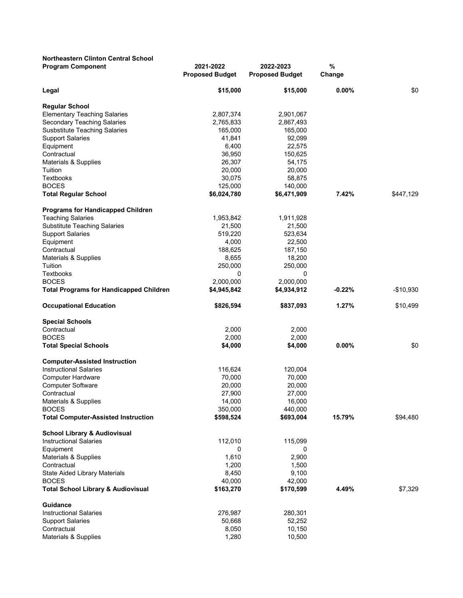| <b>Northeastern Clinton Central School</b>                    |                                     |                                     |             |            |
|---------------------------------------------------------------|-------------------------------------|-------------------------------------|-------------|------------|
| <b>Program Component</b>                                      | 2021-2022<br><b>Proposed Budget</b> | 2022-2023<br><b>Proposed Budget</b> | %<br>Change |            |
| Legal                                                         | \$15,000                            | \$15,000                            | 0.00%       | \$0        |
| <b>Regular School</b>                                         |                                     |                                     |             |            |
| <b>Elementary Teaching Salaries</b>                           | 2,807,374                           | 2,901,067                           |             |            |
| Secondary Teaching Salaries                                   | 2,765,833                           | 2,867,493                           |             |            |
| <b>Susbstitute Teaching Salaries</b>                          | 165,000                             | 165,000                             |             |            |
| <b>Support Salaries</b>                                       | 41,841                              | 92,099                              |             |            |
| Equipment                                                     | 6,400                               | 22,575                              |             |            |
| Contractual                                                   | 36,950                              | 150,625                             |             |            |
| Materials & Supplies                                          | 26,307                              | 54,175                              |             |            |
| Tuition                                                       | 20,000                              | 20,000                              |             |            |
| Textbooks                                                     | 30,075                              | 58,875                              |             |            |
| <b>BOCES</b>                                                  | 125,000                             | 140,000                             |             |            |
| <b>Total Regular School</b>                                   | \$6,024,780                         | \$6,471,909                         | 7.42%       | \$447,129  |
| <b>Programs for Handicapped Children</b>                      |                                     |                                     |             |            |
| <b>Teaching Salaries</b>                                      | 1,953,842                           | 1,911,928                           |             |            |
| <b>Substitute Teaching Salaries</b>                           | 21,500                              | 21,500                              |             |            |
| <b>Support Salaries</b>                                       | 519,220                             | 523,634                             |             |            |
| Equipment                                                     | 4,000                               | 22,500                              |             |            |
| Contractual                                                   | 188,625                             | 187,150                             |             |            |
| Materials & Supplies                                          | 8,655                               | 18,200                              |             |            |
| Tuition                                                       | 250,000                             | 250,000                             |             |            |
| <b>Textbooks</b>                                              | 0                                   | 0                                   |             |            |
| <b>BOCES</b>                                                  | 2,000,000                           | 2,000,000                           |             |            |
| <b>Total Programs for Handicapped Children</b>                | \$4,945,842                         | \$4,934,912                         | $-0.22%$    | $-$10,930$ |
| <b>Occupational Education</b>                                 | \$826,594                           | \$837,093                           | 1.27%       | \$10,499   |
| <b>Special Schools</b>                                        |                                     |                                     |             |            |
| Contractual                                                   | 2,000                               | 2,000                               |             |            |
| <b>BOCES</b>                                                  | 2,000                               | 2,000                               |             |            |
| <b>Total Special Schools</b>                                  | \$4,000                             | \$4,000                             | $0.00\%$    | \$0        |
| <b>Computer-Assisted Instruction</b>                          |                                     |                                     |             |            |
| <b>Instructional Salaries</b>                                 | 116,624                             | 120,004                             |             |            |
| Computer Hardware                                             | 70,000                              | 70,000                              |             |            |
| <b>Computer Software</b>                                      | 20,000                              | 20,000                              |             |            |
| Contractual                                                   | 27,900                              | 27,000                              |             |            |
| Materials & Supplies                                          | 14,000                              | 16,000                              |             |            |
| <b>BOCES</b><br><b>Total Computer-Assisted Instruction</b>    | 350,000<br>\$598,524                | 440,000<br>\$693,004                | 15.79%      | \$94,480   |
|                                                               |                                     |                                     |             |            |
| <b>School Library &amp; Audiovisual</b>                       |                                     |                                     |             |            |
| <b>Instructional Salaries</b>                                 | 112,010                             | 115,099                             |             |            |
| Equipment                                                     | 0                                   | 0                                   |             |            |
| Materials & Supplies                                          | 1,610                               | 2,900                               |             |            |
| Contractual                                                   | 1,200                               | 1,500                               |             |            |
| State Aided Library Materials                                 | 8,450                               | 9,100                               |             |            |
| <b>BOCES</b><br><b>Total School Library &amp; Audiovisual</b> | 40,000<br>\$163,270                 | 42,000<br>\$170,599                 | 4.49%       | \$7,329    |
| Guidance                                                      |                                     |                                     |             |            |
| <b>Instructional Salaries</b>                                 | 276,987                             | 280,301                             |             |            |
| <b>Support Salaries</b>                                       | 50,668                              | 52,252                              |             |            |
| Contractual                                                   | 8,050                               | 10,150                              |             |            |
| Materials & Supplies                                          | 1,280                               | 10,500                              |             |            |
|                                                               |                                     |                                     |             |            |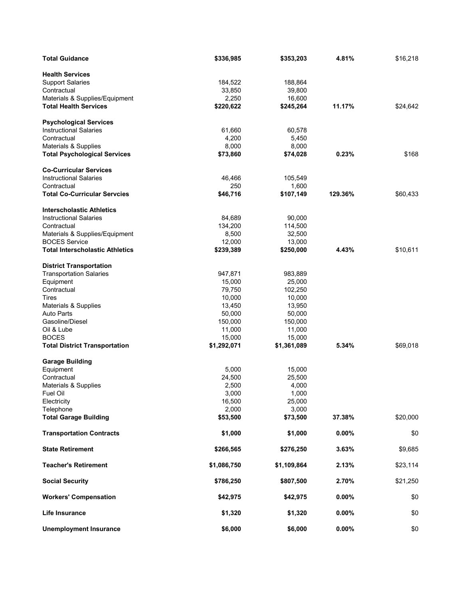| <b>Total Guidance</b>                                          | \$336,985   | \$353,203   | 4.81%   | \$16,218 |
|----------------------------------------------------------------|-------------|-------------|---------|----------|
| <b>Health Services</b>                                         |             |             |         |          |
| <b>Support Salaries</b>                                        | 184,522     | 188,864     |         |          |
| Contractual                                                    | 33,850      | 39,800      |         |          |
| Materials & Supplies/Equipment                                 | 2,250       | 16,600      |         |          |
| <b>Total Health Services</b>                                   | \$220,622   | \$245,264   | 11.17%  | \$24,642 |
|                                                                |             |             |         |          |
| <b>Psychological Services</b>                                  |             |             |         |          |
| <b>Instructional Salaries</b>                                  | 61,660      | 60,578      |         |          |
| Contractual                                                    | 4,200       | 5,450       |         |          |
| Materials & Supplies                                           | 8,000       | 8,000       |         |          |
| <b>Total Psychological Services</b>                            | \$73,860    | \$74,028    | 0.23%   | \$168    |
|                                                                |             |             |         |          |
| <b>Co-Curricular Services</b><br><b>Instructional Salaries</b> | 46,466      | 105,549     |         |          |
|                                                                | 250         |             |         |          |
| Contractual                                                    |             | 1,600       |         |          |
| <b>Total Co-Curricular Servcies</b>                            | \$46,716    | \$107,149   | 129.36% | \$60,433 |
| <b>Interscholastic Athletics</b>                               |             |             |         |          |
| <b>Instructional Salaries</b>                                  | 84,689      | 90,000      |         |          |
| Contractual                                                    | 134,200     | 114,500     |         |          |
| Materials & Supplies/Equipment                                 | 8,500       | 32,500      |         |          |
| <b>BOCES Service</b>                                           | 12,000      | 13,000      |         |          |
| <b>Total Interscholastic Athletics</b>                         | \$239,389   | \$250,000   | 4.43%   | \$10,611 |
|                                                                |             |             |         |          |
| <b>District Transportation</b>                                 |             |             |         |          |
| <b>Transportation Salaries</b>                                 | 947,871     | 983,889     |         |          |
| Equipment                                                      | 15,000      | 25,000      |         |          |
| Contractual                                                    | 79,750      | 102,250     |         |          |
| Tires                                                          | 10,000      | 10,000      |         |          |
| Materials & Supplies                                           | 13,450      | 13,950      |         |          |
| <b>Auto Parts</b>                                              | 50,000      | 50,000      |         |          |
| Gasoline/Diesel                                                | 150,000     | 150,000     |         |          |
| Oil & Lube                                                     | 11,000      | 11,000      |         |          |
| <b>BOCES</b>                                                   | 15,000      | 15,000      |         |          |
| <b>Total District Transportation</b>                           | \$1,292,071 | \$1,361,089 | 5.34%   | \$69,018 |
| <b>Garage Building</b>                                         |             |             |         |          |
| Equipment                                                      | 5,000       | 15,000      |         |          |
| Contractual                                                    | 24,500      | 25,500      |         |          |
| Materials & Supplies                                           | 2,500       | 4,000       |         |          |
| Fuel Oil                                                       | 3,000       | 1,000       |         |          |
| Electricity                                                    | 16,500      | 25,000      |         |          |
| Telephone                                                      | 2,000       | 3,000       |         |          |
| <b>Total Garage Building</b>                                   | \$53,500    | \$73,500    | 37.38%  | \$20,000 |
|                                                                |             |             |         |          |
| <b>Transportation Contracts</b>                                | \$1,000     | \$1,000     | 0.00%   | \$0      |
| <b>State Retirement</b>                                        | \$266,565   | \$276,250   | 3.63%   | \$9,685  |
| <b>Teacher's Retirement</b>                                    | \$1,086,750 | \$1,109,864 | 2.13%   | \$23,114 |
| <b>Social Security</b>                                         | \$786,250   | \$807,500   | 2.70%   | \$21,250 |
| <b>Workers' Compensation</b>                                   | \$42,975    | \$42,975    | 0.00%   | \$0      |
| Life Insurance                                                 | \$1,320     | \$1,320     | 0.00%   | \$0      |
| <b>Unemployment Insurance</b>                                  | \$6,000     | \$6,000     | 0.00%   | \$0      |